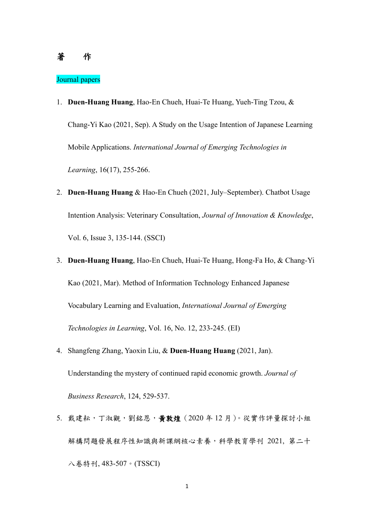## Journal papers

- 1. **Duen-Huang Huang**, Hao-En Chueh, Huai-Te Huang, Yueh-Ting Tzou, & Chang-Yi Kao (2021, Sep). A Study on the Usage Intention of Japanese Learning Mobile Applications. *International Journal of Emerging Technologies in Learning*, 16(17), 255-266.
- 2. **Duen-Huang Huang** & Hao-En Chueh (2021, July–September). Chatbot Usage Intention Analysis: Veterinary Consultation, *Journal of Innovation & Knowledge*, Vol. 6, Issue 3, 135-144. (SSCI)
- 3. **Duen-Huang Huang**, Hao-En Chueh, Huai-Te Huang, Hong-Fa Ho, & Chang-Yi Kao (2021, Mar). Method of Information Technology Enhanced Japanese Vocabulary Learning and Evaluation, *International Journal of Emerging Technologies in Learning*, Vol. 16, No. 12, 233-245. (EI)
- 4. Shangfeng Zhang, Yaoxin Liu, & **Duen-Huang Huang** (2021, Jan). Understanding the mystery of continued rapid economic growth. *Journal of Business Research*, 124, 529-537.
- 5. 戴建耘,丁淑觀,劉銘恩,黃敦煌 (2020年12月)。從實作評量探討小組 解構問題發展程序性知識與新課綱核心素養,科學教育學刊 2021, 第二十 八卷特刊, 483-507。(TSSCI)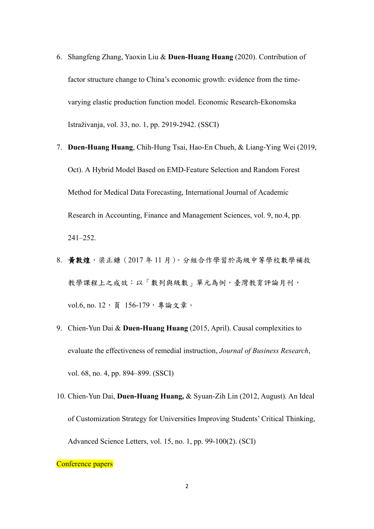- 6. Shangfeng Zhang, Yaoxin Liu & **Duen-Huang Huang** (2020). Contribution of factor structure change to China's economic growth: evidence from the timevarying elastic production function model. Economic Research-Ekonomska Istraživanja, vol. 33, no. 1, pp. 2919-2942. (SSCI)
- 7. **Duen-Huang Huang**, Chih-Hung Tsai, Hao-En Chueh, & Liang-Ying Wei (2019, Oct). A Hybrid Model Based on EMD-Feature Selection and Random Forest Method for Medical Data Forecasting, International Journal of Academic Research in Accounting, Finance and Management Sciences, vol. 9, no.4, pp. 241–252.
- 8. 黃敦煌,梁正鐮(2017年11月)。分組合作學習於高級中等學校數學補救 教學課程上之成效:以「數列與級數」單元為例,臺灣教育評論月刊, vol.6, no. 12, 頁 156-179, 專論文章。
- 9. Chien-Yun Dai & **Duen-Huang Huang** (2015, April). Causal complexities to evaluate the effectiveness of remedial instruction, *Journal of Business Research*, vol. 68, no. 4, pp. 894–899. (SSCI)
- 10. Chien-Yun Dai, **Duen-Huang Huang,** & Syuan-Zih Lin (2012, August). An Ideal of Customization Strategy for Universities Improving Students' Critical Thinking, Advanced Science Letters, vol. 15, no. 1, pp. 99-100(2). (SCI)

Conference papers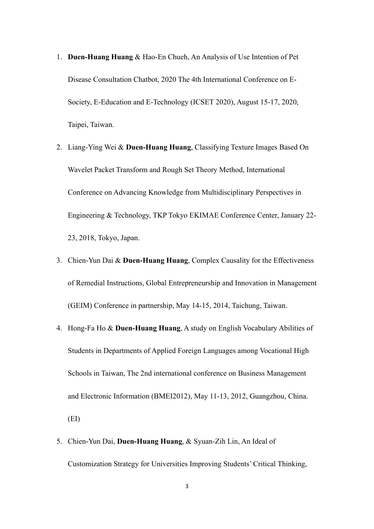- 1. **Duen-Huang Huang** & Hao-En Chueh, An Analysis of Use Intention of Pet Disease Consultation Chatbot, 2020 The 4th International Conference on E-Society, E-Education and E-Technology (ICSET 2020), August 15-17, 2020, Taipei, Taiwan.
- 2. Liang-Ying Wei & **Duen-Huang Huang**, Classifying Texture Images Based On Wavelet Packet Transform and Rough Set Theory Method, International Conference on Advancing Knowledge from Multidisciplinary Perspectives in Engineering & Technology, TKP Tokyo EKIMAE Conference Center, January 22- 23, 2018, Tokyo, Japan.
- 3. Chien-Yun Dai & **Duen-Huang Huang**, Complex Causality for the Effectiveness of Remedial Instructions, Global Entrepreneurship and Innovation in Management (GEIM) Conference in partnership, May 14-15, 2014, Taichung, Taiwan.
- 4. Hong-Fa Ho & **Duen-Huang Huang**, A study on English Vocabulary Abilities of Students in Departments of Applied Foreign Languages among Vocational High Schools in Taiwan, The 2nd international conference on Business Management and Electronic Information (BMEI2012), May 11-13, 2012, Guangzhou, China. (EI)
- 5. Chien-Yun Dai, **Duen-Huang Huang**, & Syuan-Zih Lin, An Ideal of Customization Strategy for Universities Improving Students' Critical Thinking,